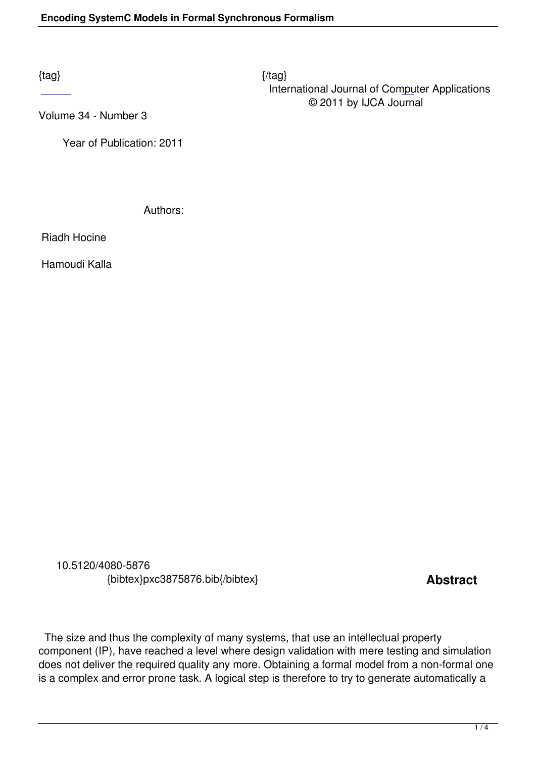$\{tag\}$  International Journal of Computer Applications © 2011 by IJCA Journal

Volume 34 - Number 3

 [Ye](http://research.ijcaonline.org/volume34/number3/pxc3875876.pdf)ar of Publication: 2011

Authors:

Riadh Hocine

Hamoudi Kalla

 10.5120/4080-5876 {bibtex}pxc3875876.bib{/bibtex} **Abstract** 

 The size and thus the complexity of many systems, that use an intellectual property component (IP), have reached a level where design validation with mere testing and simulation does not deliver the required quality any more. Obtaining a formal model from a non-formal one is a complex and error prone task. A logical step is therefore to try to generate automatically a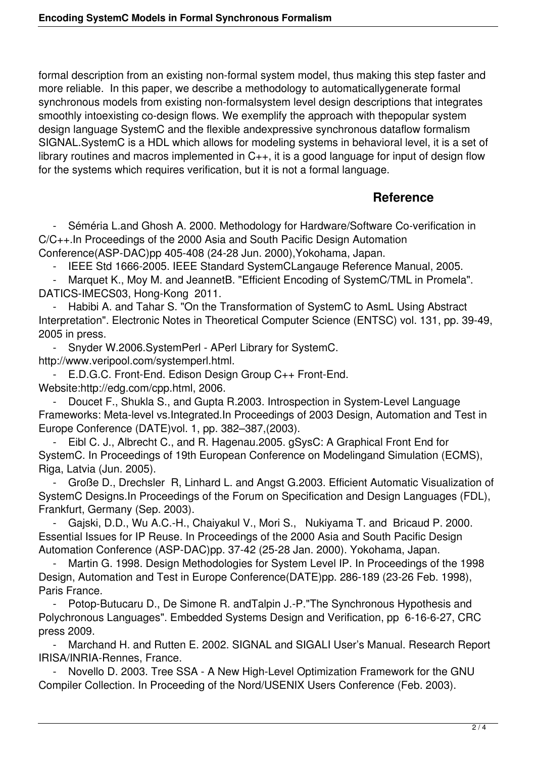formal description from an existing non-formal system model, thus making this step faster and more reliable. In this paper, we describe a methodology to automaticallygenerate formal synchronous models from existing non-formalsystem level design descriptions that integrates smoothly intoexisting co-design flows. We exemplify the approach with thepopular system design language SystemC and the flexible andexpressive synchronous dataflow formalism SIGNAL.SystemC is a HDL which allows for modeling systems in behavioral level, it is a set of library routines and macros implemented in C++, it is a good language for input of design flow for the systems which requires verification, but it is not a formal language.

## **Reference**

Séméria L.and Ghosh A. 2000. Methodology for Hardware/Software Co-verification in C/C++.In Proceedings of the 2000 Asia and South Pacific Design Automation Conference(ASP-DAC)pp 405-408 (24-28 Jun. 2000),Yokohama, Japan.

- IEEE Std 1666-2005. IEEE Standard SystemCLangauge Reference Manual, 2005.<br>- Marquet K., Moy M. and JeannetB. "Efficient Encoding of SystemC/TML in Promela

Marquet K., Moy M. and JeannetB. "Efficient Encoding of SystemC/TML in Promela". DATICS-IMECS03, Hong-Kong 2011.

Habibi A. and Tahar S. "On the Transformation of SystemC to AsmL Using Abstract Interpretation". Electronic Notes in Theoretical Computer Science (ENTSC) vol. 131, pp. 39-49, 2005 in press.

- Snyder W.2006.SystemPerl - APerl Library for SystemC.

http://www.veripool.com/systemperl.html.

 - E.D.G.C. Front-End. Edison Design Group C++ Front-End. Website:http://edg.com/cpp.html, 2006.

 - Doucet F., Shukla S., and Gupta R.2003. Introspection in System-Level Language Frameworks: Meta-level vs.Integrated.In Proceedings of 2003 Design, Automation and Test in Europe Conference (DATE)vol. 1, pp. 382–387,(2003).

 - Eibl C. J., Albrecht C., and R. Hagenau.2005. gSysC: A Graphical Front End for SystemC. In Proceedings of 19th European Conference on Modelingand Simulation (ECMS), Riga, Latvia (Jun. 2005).

 - Große D., Drechsler R, Linhard L. and Angst G.2003. Efficient Automatic Visualization of SystemC Designs.In Proceedings of the Forum on Specification and Design Languages (FDL), Frankfurt, Germany (Sep. 2003).

Gajski, D.D., Wu A.C.-H., Chaiyakul V., Mori S., Nukiyama T. and Bricaud P. 2000. Essential Issues for IP Reuse. In Proceedings of the 2000 Asia and South Pacific Design Automation Conference (ASP-DAC)pp. 37-42 (25-28 Jan. 2000). Yokohama, Japan.

Martin G. 1998. Design Methodologies for System Level IP. In Proceedings of the 1998 Design, Automation and Test in Europe Conference(DATE)pp. 286-189 (23-26 Feb. 1998), Paris France.

 - Potop-Butucaru D., De Simone R. andTalpin J.-P."The Synchronous Hypothesis and Polychronous Languages". Embedded Systems Design and Verification, pp 6-16-6-27, CRC press 2009.

 - Marchand H. and Rutten E. 2002. SIGNAL and SIGALI User's Manual. Research Report IRISA/INRIA-Rennes, France.

Novello D. 2003. Tree SSA - A New High-Level Optimization Framework for the GNU Compiler Collection. In Proceeding of the Nord/USENIX Users Conference (Feb. 2003).